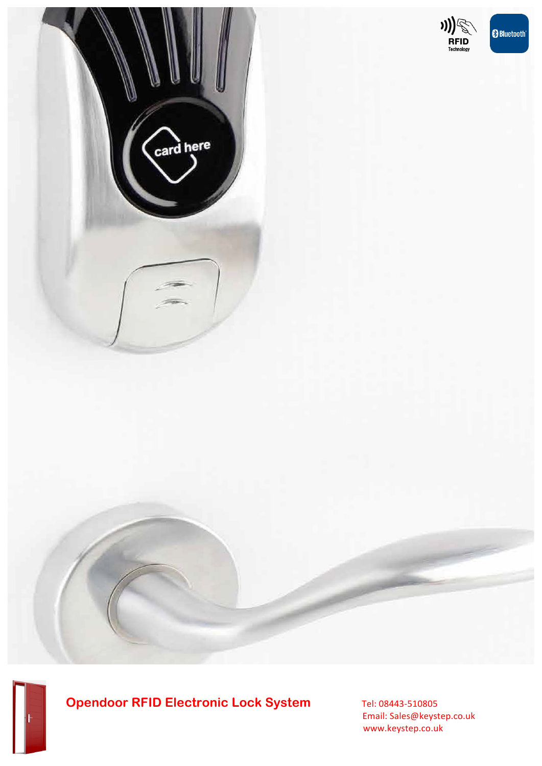



# **Opendoor RFID Electronic Lock System** Tel: 08443-510805

 Email: Sales@keystep.co.uk www.keystep.co.uk